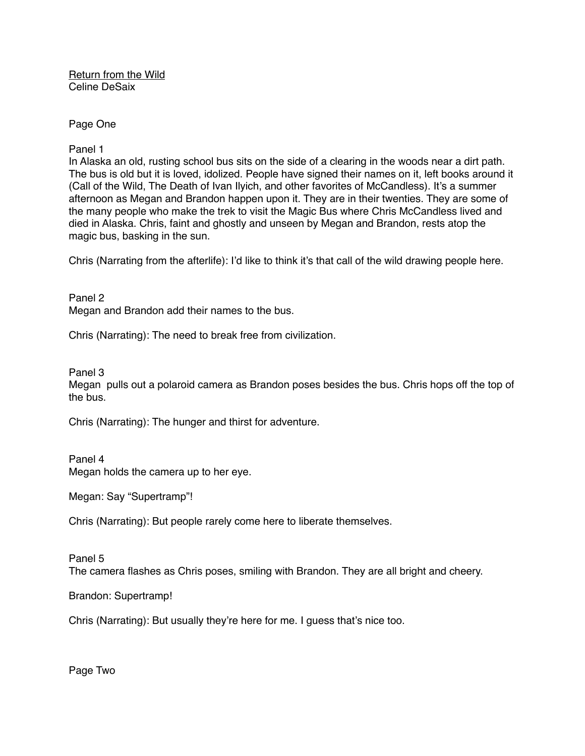Return from the Wild Celine DeSaix

Page One

Panel 1

In Alaska an old, rusting school bus sits on the side of a clearing in the woods near a dirt path. The bus is old but it is loved, idolized. People have signed their names on it, left books around it (Call of the Wild, The Death of Ivan Ilyich, and other favorites of McCandless). It's a summer afternoon as Megan and Brandon happen upon it. They are in their twenties. They are some of the many people who make the trek to visit the Magic Bus where Chris McCandless lived and died in Alaska. Chris, faint and ghostly and unseen by Megan and Brandon, rests atop the magic bus, basking in the sun.

Chris (Narrating from the afterlife): I'd like to think it's that call of the wild drawing people here.

Panel 2 Megan and Brandon add their names to the bus.

Chris (Narrating): The need to break free from civilization.

Panel 3

Megan pulls out a polaroid camera as Brandon poses besides the bus. Chris hops off the top of the bus.

Chris (Narrating): The hunger and thirst for adventure.

Panel 4 Megan holds the camera up to her eye.

Megan: Say "Supertramp"!

Chris (Narrating): But people rarely come here to liberate themselves.

Panel 5

The camera flashes as Chris poses, smiling with Brandon. They are all bright and cheery.

Brandon: Supertramp!

Chris (Narrating): But usually they're here for me. I guess that's nice too.

Page Two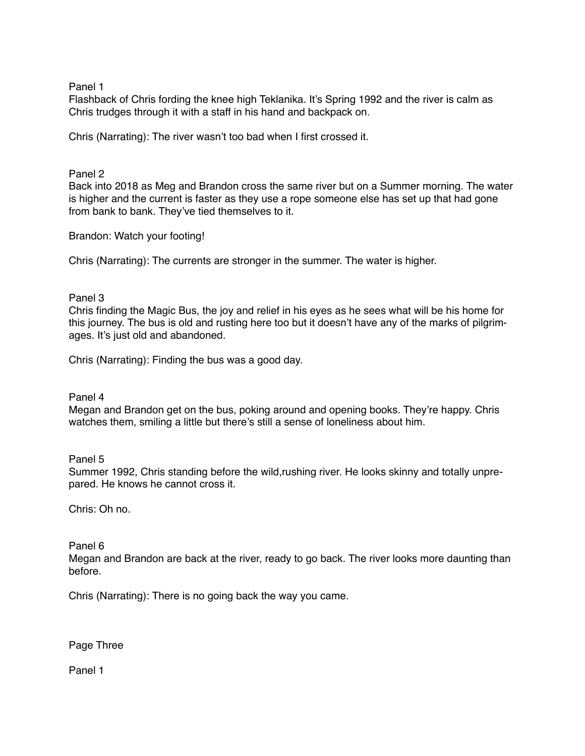Panel 1

Flashback of Chris fording the knee high Teklanika. It's Spring 1992 and the river is calm as Chris trudges through it with a staff in his hand and backpack on.

Chris (Narrating): The river wasn't too bad when I first crossed it.

## Panel 2

Back into 2018 as Meg and Brandon cross the same river but on a Summer morning. The water is higher and the current is faster as they use a rope someone else has set up that had gone from bank to bank. They've tied themselves to it.

Brandon: Watch your footing!

Chris (Narrating): The currents are stronger in the summer. The water is higher.

## Panel 3

Chris finding the Magic Bus, the joy and relief in his eyes as he sees what will be his home for this journey. The bus is old and rusting here too but it doesn't have any of the marks of pilgrimages. It's just old and abandoned.

Chris (Narrating): Finding the bus was a good day.

Panel 4

Megan and Brandon get on the bus, poking around and opening books. They're happy. Chris watches them, smiling a little but there's still a sense of loneliness about him.

Panel 5

Summer 1992, Chris standing before the wild,rushing river. He looks skinny and totally unprepared. He knows he cannot cross it.

Chris: Oh no.

## Panel 6

Megan and Brandon are back at the river, ready to go back. The river looks more daunting than before.

Chris (Narrating): There is no going back the way you came.

Page Three

Panel 1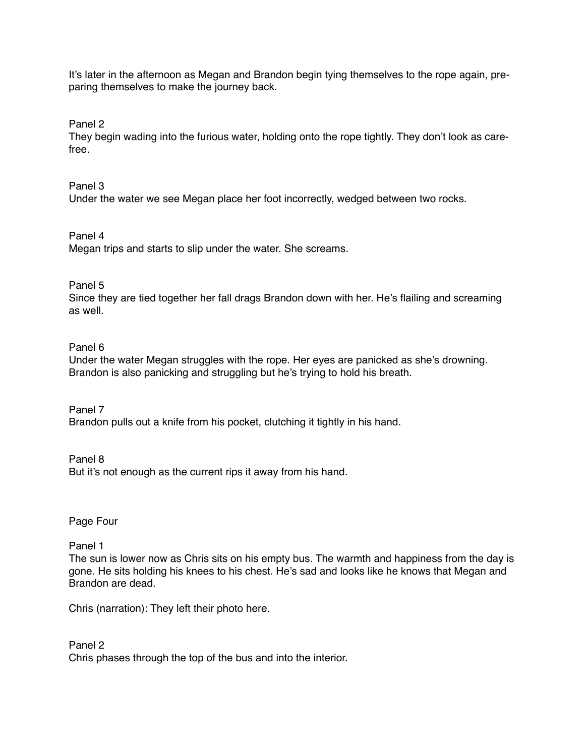It's later in the afternoon as Megan and Brandon begin tying themselves to the rope again, preparing themselves to make the journey back.

Panel 2

They begin wading into the furious water, holding onto the rope tightly. They don't look as carefree.

Panel 3

Under the water we see Megan place her foot incorrectly, wedged between two rocks.

Panel 4

Megan trips and starts to slip under the water. She screams.

Panel 5

Since they are tied together her fall drags Brandon down with her. He's flailing and screaming as well.

## Panel 6

Under the water Megan struggles with the rope. Her eyes are panicked as she's drowning. Brandon is also panicking and struggling but he's trying to hold his breath.

Panel 7 Brandon pulls out a knife from his pocket, clutching it tightly in his hand.

Panel 8 But it's not enough as the current rips it away from his hand.

Page Four

Panel 1

The sun is lower now as Chris sits on his empty bus. The warmth and happiness from the day is gone. He sits holding his knees to his chest. He's sad and looks like he knows that Megan and Brandon are dead.

Chris (narration): They left their photo here.

Panel 2 Chris phases through the top of the bus and into the interior.